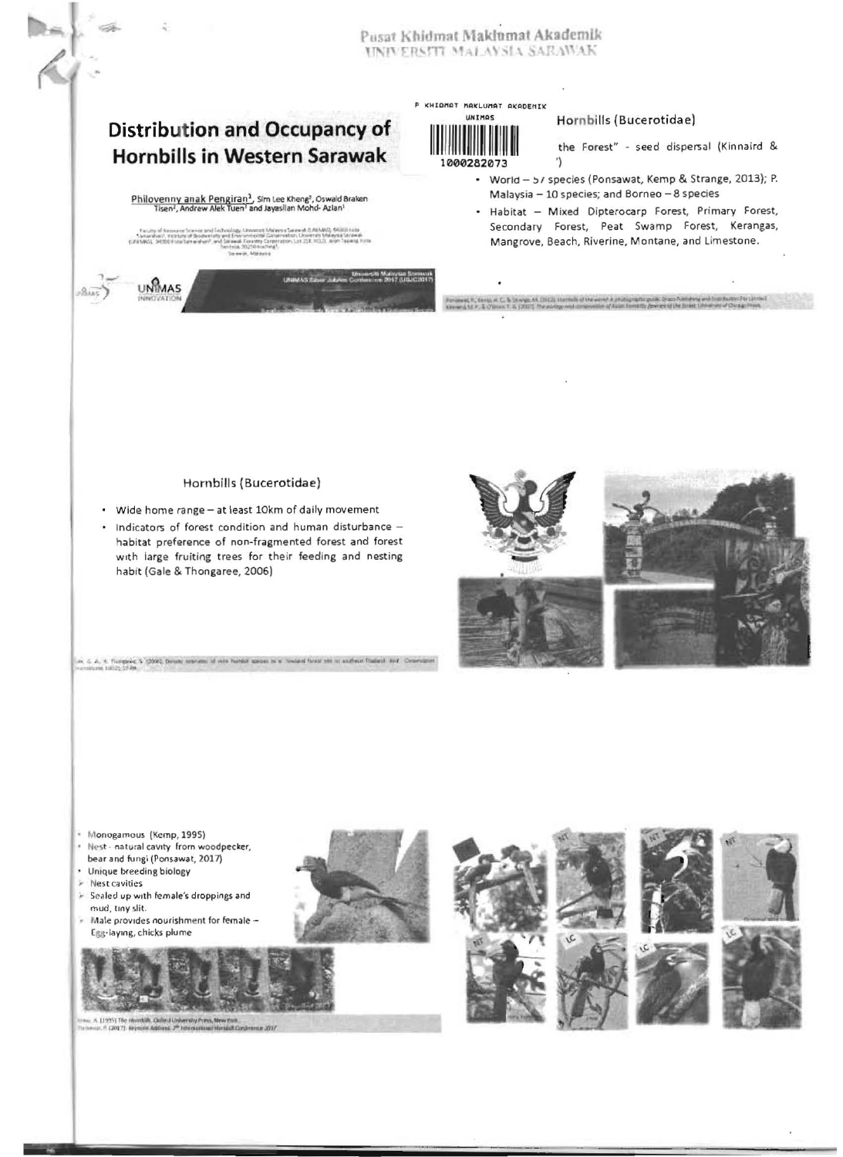### Pusat Khidmat Maklumat Akademik UNIVERSITI MALAYSIA SARAWAK

## **Distribution and Occupancy of Hornbills in Western Sarawak**

# $\frac{\text{Philovenny anak Penguin-1}}{\text{Tisen}^1, \text{Andrew Alex Tuen}^2} \text{Sim Lee Kheng}^2, \text{Oswald Braken}}{\text{Tisen}^1, \text{Andrew Alex Tuen}^3} \text{ and Jayasilan Mohd-Azlan}^1$

**JNMAS** 

Linuxer Marie Stewart

P KHIDMAT MAKLUMAT AKADEMIK UNIMOS



### Hornbills (Bucerotidae)

the Forest" - seed dispersal (Kinnaird & 1

- World 57 species (Ponsawat, Kemp & Strange, 2013); P. Malaysia - 10 species; and Borneo - 8 species
- . Habitat Mixed Dipterocarp Forest, Primary Forest, Secondary Forest, Peat Swamp Forest, Kerangas, Mangrove, Beach, Riverine, Montane, and Limestone.

est. P., turns, et C., & le segn est fried), describe af des saves à paragraphe passe de se

### Hornbills (Bucerotidae)

- Wide home range at least 10km of daily movement
- Indicators of forest condition and human disturbance habitat preference of non-fragmented forest and forest with large fruiting trees for their feeding and nesting habit (Gale & Thongaree, 2006)

5 (2000), Delain: Interests of rate horizot species in a Toward farest see or acabeian Flasheid Avid Cor



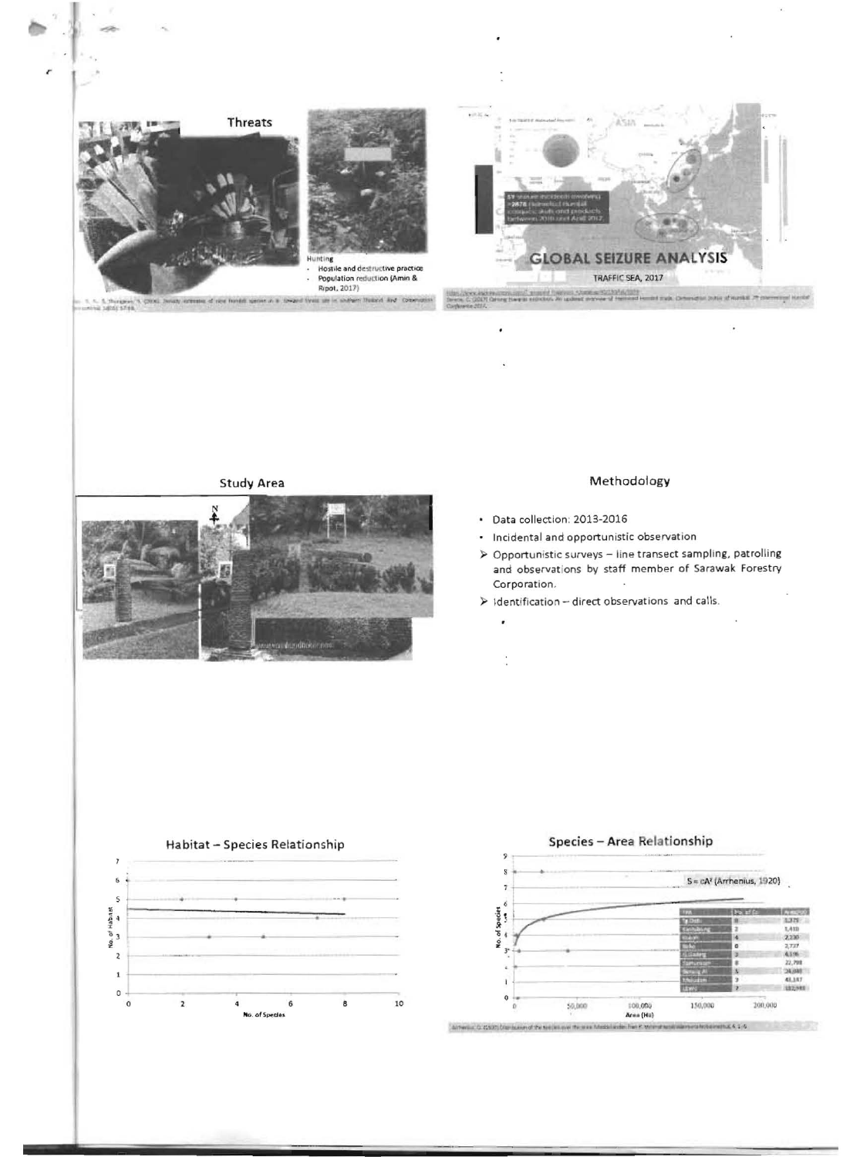

**Study Area** 

### Methodology

· Data collection: 2013-2016

Ì

- Incidental and opportunistic observation ÷.
- > Opportunistic surveys line transect sampling, patrolling and observations by staff member of Sarawak Forestry Corporation.
- > Identification direct observations and calls.



#### Species - Area Relationship 9 s  $S = cA^2$  (Arrhenius, 1920)  $\overline{t}$ 6 No. of Species<br>f = vm = o  $N_0$   $\equiv$ 3,329 Lass  $2.220$ 4,196 22,798 24,000 ×  $\overline{r}$  $\mathfrak{o}$ 100,000<br>Area (Ha) 200,000  $55,000$  $150,000$

Althering G. (1927) One busined the see was no area fully  $x_1$  a answer riffice it status